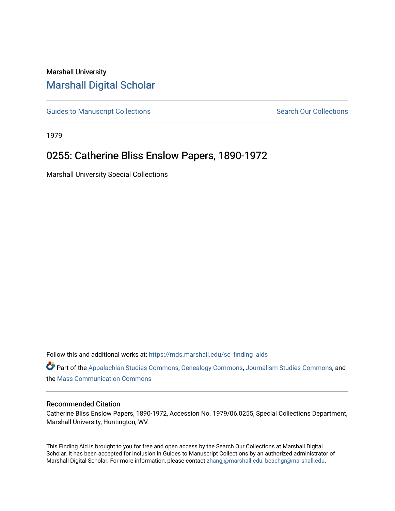## Marshall University [Marshall Digital Scholar](https://mds.marshall.edu/)

[Guides to Manuscript Collections](https://mds.marshall.edu/sc_finding_aids) **Search Our Collections** Search Our Collections

1979

# 0255: Catherine Bliss Enslow Papers, 1890-1972

Marshall University Special Collections

Follow this and additional works at: [https://mds.marshall.edu/sc\\_finding\\_aids](https://mds.marshall.edu/sc_finding_aids?utm_source=mds.marshall.edu%2Fsc_finding_aids%2F8&utm_medium=PDF&utm_campaign=PDFCoverPages) 

Part of the [Appalachian Studies Commons,](http://network.bepress.com/hgg/discipline/1253?utm_source=mds.marshall.edu%2Fsc_finding_aids%2F8&utm_medium=PDF&utm_campaign=PDFCoverPages) [Genealogy Commons,](http://network.bepress.com/hgg/discipline/1342?utm_source=mds.marshall.edu%2Fsc_finding_aids%2F8&utm_medium=PDF&utm_campaign=PDFCoverPages) [Journalism Studies Commons](http://network.bepress.com/hgg/discipline/333?utm_source=mds.marshall.edu%2Fsc_finding_aids%2F8&utm_medium=PDF&utm_campaign=PDFCoverPages), and the [Mass Communication Commons](http://network.bepress.com/hgg/discipline/334?utm_source=mds.marshall.edu%2Fsc_finding_aids%2F8&utm_medium=PDF&utm_campaign=PDFCoverPages) 

#### Recommended Citation

Catherine Bliss Enslow Papers, 1890-1972, Accession No. 1979/06.0255, Special Collections Department, Marshall University, Huntington, WV.

This Finding Aid is brought to you for free and open access by the Search Our Collections at Marshall Digital Scholar. It has been accepted for inclusion in Guides to Manuscript Collections by an authorized administrator of Marshall Digital Scholar. For more information, please contact [zhangj@marshall.edu, beachgr@marshall.edu](mailto:zhangj@marshall.edu,%20beachgr@marshall.edu).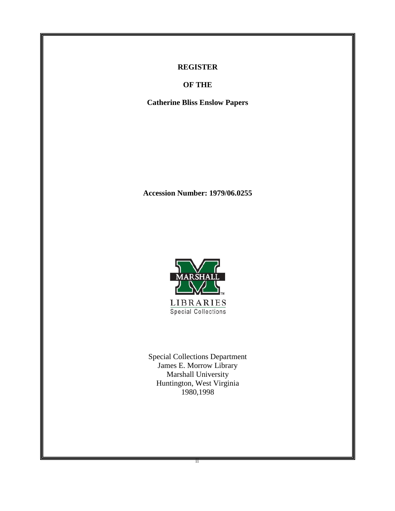### **REGISTER**

**OF THE**

**Catherine Bliss Enslow Papers**

**Accession Number: 1979/06.0255**



Special Collections Department James E. Morrow Library Marshall University Huntington, West Virginia 1980,1998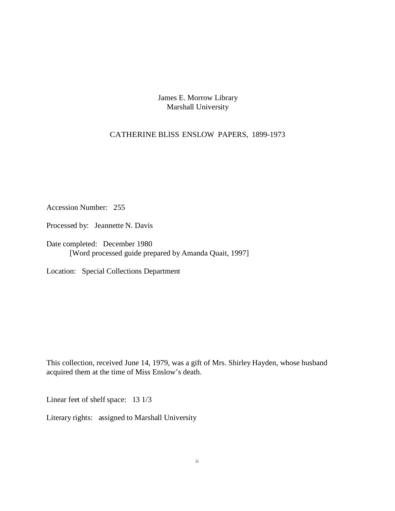James E. Morrow Library Marshall University

#### CATHERINE BLISS ENSLOW PAPERS, 1899-1973

Accession Number: 255

Processed by: Jeannette N. Davis

Date completed: December 1980 [Word processed guide prepared by Amanda Quait, 1997]

Location: Special Collections Department

This collection, received June 14, 1979, was a gift of Mrs. Shirley Hayden, whose husband acquired them at the time of Miss Enslow's death.

Linear feet of shelf space: 13 1/3

Literary rights: assigned to Marshall University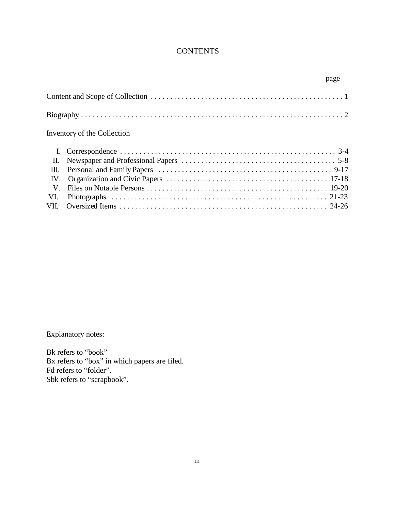## **CONTENTS**

|      | page                        |  |
|------|-----------------------------|--|
|      |                             |  |
|      |                             |  |
|      | Inventory of the Collection |  |
|      |                             |  |
| II.  |                             |  |
| III. |                             |  |
| IV.  |                             |  |
| V.   |                             |  |
| VI.  |                             |  |
|      |                             |  |

Explanatory notes:

Bk refers to "book" Bx refers to "box" in which papers are filed. Fd refers to "folder". Sbk refers to "scrapbook".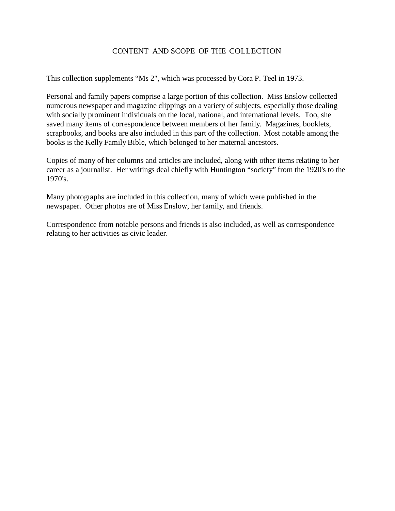### CONTENT AND SCOPE OF THE COLLECTION

This collection supplements "Ms 2", which was processed by Cora P. Teel in 1973.

Personal and family papers comprise a large portion of this collection. Miss Enslow collected numerous newspaper and magazine clippings on a variety of subjects, especially those dealing with socially prominent individuals on the local, national, and international levels. Too, she saved many items of correspondence between members of her family. Magazines, booklets, scrapbooks, and books are also included in this part of the collection. Most notable among the books is the Kelly Family Bible, which belonged to her maternal ancestors.

Copies of many of her columns and articles are included, along with other items relating to her career as a journalist. Her writings deal chiefly with Huntington "society" from the 1920's to the 1970's.

Many photographs are included in this collection, many of which were published in the newspaper. Other photos are of Miss Enslow, her family, and friends.

Correspondence from notable persons and friends is also included, as well as correspondence relating to her activities as civic leader.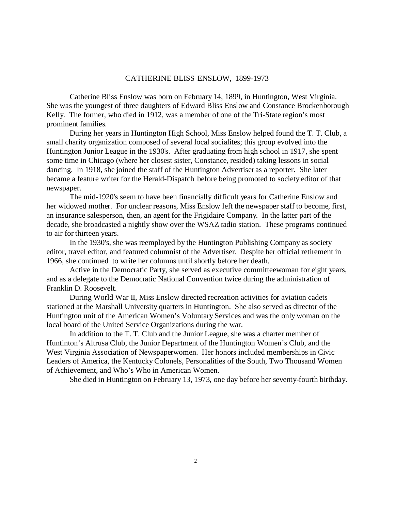#### CATHERINE BLISS ENSLOW, 1899-1973

Catherine Bliss Enslow was born on February 14, 1899, in Huntington, West Virginia. She was the youngest of three daughters of Edward Bliss Enslow and Constance Brockenborough Kelly. The former, who died in 1912, was a member of one of the Tri-State region's most prominent families.

During her years in Huntington High School, Miss Enslow helped found the T. T. Club, a small charity organization composed of several local socialites; this group evolved into the Huntington Junior League in the 1930's. After graduating from high school in 1917, she spent some time in Chicago (where her closest sister, Constance, resided) taking lessons in social dancing. In 1918, she joined the staff of the Huntington Advertiser as a reporter. She later became a feature writer for the Herald-Dispatch before being promoted to society editor of that newspaper.

The mid-1920's seem to have been financially difficult years for Catherine Enslow and her widowed mother. For unclear reasons, Miss Enslow left the newspaper staff to become, first, an insurance salesperson, then, an agent for the Frigidaire Company. In the latter part of the decade, she broadcasted a nightly show over the WSAZ radio station. These programs continued to air for thirteen years.

In the 1930's, she was reemployed by the Huntington Publishing Company as society editor, travel editor, and featured columnist of the Advertiser. Despite her official retirement in 1966, she continued to write her columns until shortly before her death.

Active in the Democratic Party, she served as executive committeewoman for eight years, and as a delegate to the Democratic National Convention twice during the administration of Franklin D. Roosevelt.

During World War II, Miss Enslow directed recreation activities for aviation cadets stationed at the Marshall University quarters in Huntington. She also served as director of the Huntington unit of the American Women's Voluntary Services and was the only woman on the local board of the United Service Organizations during the war.

In addition to the T. T. Club and the Junior League, she was a charter member of Huntinton's Altrusa Club, the Junior Department of the Huntington Women's Club, and the West Virginia Association of Newspaperwomen. Her honors included memberships in Civic Leaders of America, the Kentucky Colonels, Personalities of the South, Two Thousand Women of Achievement, and Who's Who in American Women.

She died in Huntington on February 13, 1973, one day before her seventy-fourth birthday.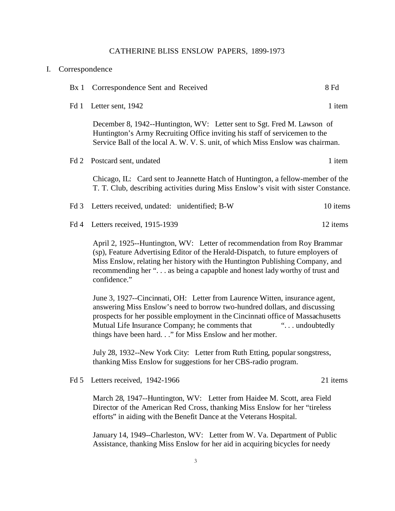#### CATHERINE BLISS ENSLOW PAPERS, 1899-1973

| I. | Correspondence                                                                                                                                                                                                                                                                                                                             |                                                                                                                                                                                                                                          |          |
|----|--------------------------------------------------------------------------------------------------------------------------------------------------------------------------------------------------------------------------------------------------------------------------------------------------------------------------------------------|------------------------------------------------------------------------------------------------------------------------------------------------------------------------------------------------------------------------------------------|----------|
|    | Bx1                                                                                                                                                                                                                                                                                                                                        | Correspondence Sent and Received                                                                                                                                                                                                         | 8 Fd     |
|    | Fd 1                                                                                                                                                                                                                                                                                                                                       | Letter sent, 1942                                                                                                                                                                                                                        | 1 item   |
|    |                                                                                                                                                                                                                                                                                                                                            | December 8, 1942--Huntington, WV: Letter sent to Sgt. Fred M. Lawson of<br>Huntington's Army Recruiting Office inviting his staff of servicemen to the<br>Service Ball of the local A. W. V. S. unit, of which Miss Enslow was chairman. |          |
|    | Fd 2                                                                                                                                                                                                                                                                                                                                       | Postcard sent, undated                                                                                                                                                                                                                   | 1 item   |
|    |                                                                                                                                                                                                                                                                                                                                            | Chicago, IL: Card sent to Jeannette Hatch of Huntington, a fellow-member of the<br>T. T. Club, describing activities during Miss Enslow's visit with sister Constance.                                                                   |          |
|    | Fd3                                                                                                                                                                                                                                                                                                                                        | Letters received, undated: unidentified; B-W                                                                                                                                                                                             | 10 items |
|    | Fd4                                                                                                                                                                                                                                                                                                                                        | Letters received, 1915-1939                                                                                                                                                                                                              | 12 items |
|    | April 2, 1925--Huntington, WV: Letter of recommendation from Roy Brammar<br>(sp), Feature Advertising Editor of the Herald-Dispatch, to future employers of<br>Miss Enslow, relating her history with the Huntington Publishing Company, and<br>recommending her " as being a capapble and honest lady worthy of trust and<br>confidence." |                                                                                                                                                                                                                                          |          |
|    |                                                                                                                                                                                                                                                                                                                                            | <u>Lune 2, 1027</u> Cincinnati, OH <sub>1</sub> , Letter from Laurance Witton, incurance against                                                                                                                                         |          |

June 3, 1927--Cincinnati, OH: Letter from Laurence Witten, insurance agent, answering Miss Enslow's need to borrow two-hundred dollars, and discussing prospects for her possible employment in the Cincinnati office of Massachusetts Mutual Life Insurance Company; he comments that "... undoubtedly" things have been hard. . ." for Miss Enslow and her mother.

July 28, 1932--New York City: Letter from Ruth Etting, popular songstress, thanking Miss Enslow for suggestions for her CBS-radio program.

Fd 5 Letters received, 1942-1966 21 items

March 28, 1947--Huntington, WV: Letter from Haidee M. Scott, area Field Director of the American Red Cross, thanking Miss Enslow for her "tireless efforts" in aiding with the Benefit Dance at the Veterans Hospital.

January 14, 1949--Charleston, WV: Letter from W. Va. Department of Public Assistance, thanking Miss Enslow for her aid in acquiring bicycles for needy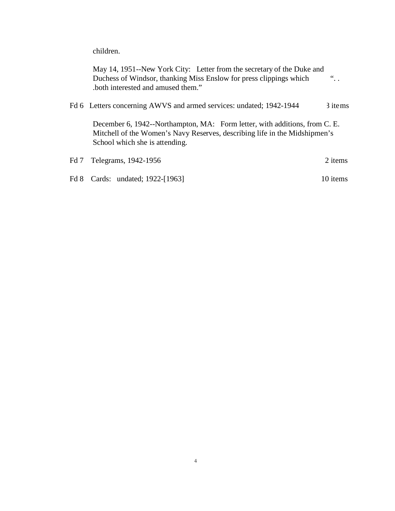children.

May 14, 1951--New York City: Letter from the secretary of the Duke and Duchess of Windsor, thanking Miss Enslow for press clippings which .both interested and amused them."  $\dddot{\ }$ .

Fd 6 Letters concerning AWVS and armed services: undated; 1942-1944 3 items

December 6, 1942--Northampton, MA: Form letter, with additions, from C. E. Mitchell of the Women's Navy Reserves, describing life in the Midshipmen's School which she is attending.

| Fd 7 Telegrams, 1942-1956        | 2 items  |
|----------------------------------|----------|
| Fd 8 Cards: undated; 1922-[1963] | 10 items |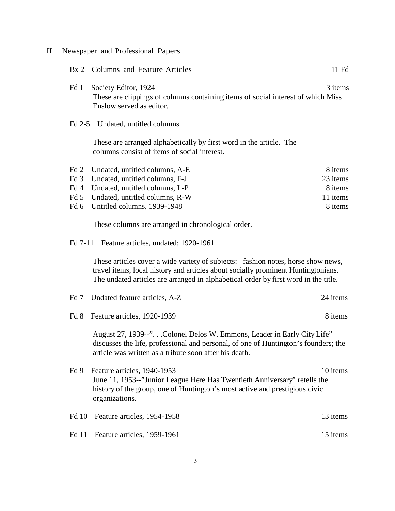II. Newspaper and Professional Papers

|                 | Bx 2 Columns and Feature Articles                                                                                                                                                                                                                            | 11 Fd    |
|-----------------|--------------------------------------------------------------------------------------------------------------------------------------------------------------------------------------------------------------------------------------------------------------|----------|
| Fd 1            | Society Editor, 1924<br>These are clippings of columns containing items of social interest of which Miss<br>Enslow served as editor.                                                                                                                         | 3 items  |
|                 | Fd 2-5 Undated, untitled columns                                                                                                                                                                                                                             |          |
|                 | These are arranged alphabetically by first word in the article. The<br>columns consist of items of social interest.                                                                                                                                          |          |
| Fd 2            | Undated, untitled columns, A-E                                                                                                                                                                                                                               | 8 items  |
| Fd <sub>3</sub> | Undated, untitled columns, F-J                                                                                                                                                                                                                               | 23 items |
| Fd 4            | Undated, untitled columns, L-P                                                                                                                                                                                                                               | 8 items  |
| Fd 5            | Undated, untitled columns, R-W                                                                                                                                                                                                                               | 11 items |
| Fd 6            | Untitled columns, 1939-1948                                                                                                                                                                                                                                  | 8 items  |
|                 | These columns are arranged in chronological order.                                                                                                                                                                                                           |          |
|                 | Fd 7-11 Feature articles, undated; 1920-1961                                                                                                                                                                                                                 |          |
|                 | These articles cover a wide variety of subjects: fashion notes, horse show news,<br>travel items, local history and articles about socially prominent Huntingtonians.<br>The undated articles are arranged in alphabetical order by first word in the title. |          |
| Fd 7            | Undated feature articles, A-Z                                                                                                                                                                                                                                | 24 items |
| Fd 8            | Feature articles, 1920-1939                                                                                                                                                                                                                                  | 8 items  |
|                 | August 27, 1939--"Colonel Delos W. Emmons, Leader in Early City Life"<br>discusses the life, professional and personal, of one of Huntington's founders; the<br>article was written as a tribute soon after his death.                                       |          |
| Fd 9            | Feature articles, 1940-1953<br>June 11, 1953--"Junior League Here Has Twentieth Anniversary" retells the<br>history of the group, one of Huntington's most active and prestigious civic<br>organizations.                                                    | 10 items |
| Fd 10           | Feature articles, 1954-1958                                                                                                                                                                                                                                  | 13 items |
| <b>Fd</b> 11    | Feature articles, 1959-1961                                                                                                                                                                                                                                  | 15 items |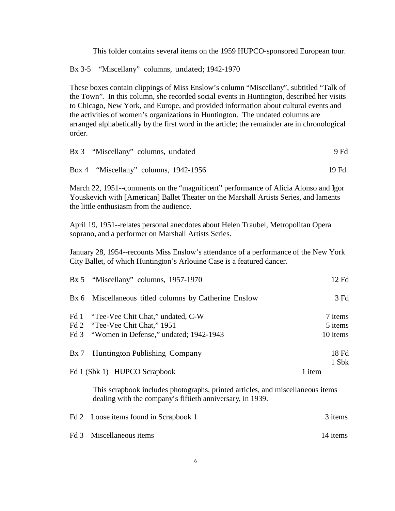This folder contains several items on the 1959 HUPCO-sponsored European tour.

Bx 3-5 "Miscellany" columns, undated; 1942-1970

These boxes contain clippings of Miss Enslow's column "Miscellany", subtitled "Talk of the Town". In this column, she recorded social events in Huntington, described her visits to Chicago, New York, and Europe, and provided information about cultural events and the activities of women's organizations in Huntington. The undated columns are arranged alphabetically by the first word in the article; the remainder are in chronological order.

| Bx 3 "Miscellany" columns, undated    | 9 Fd  |
|---------------------------------------|-------|
| Box 4 "Miscellany" columns, 1942-1956 | 19 Fd |

March 22, 1951--comments on the "magnificent" performance of Alicia Alonso and Igor Youskevich with [American] Ballet Theater on the Marshall Artists Series, and laments the little enthusiasm from the audience.

April 19, 1951--relates personal anecdotes about Helen Traubel, Metropolitan Opera soprano, and a performer on Marshall Artists Series.

January 28, 1954--recounts Miss Enslow's attendance of a performance of the New York City Ballet, of which Huntington's Arlouine Case is a featured dancer.

| Bx 5 "Miscellany" columns, 1957-1970                  | 12 Fd    |
|-------------------------------------------------------|----------|
| Bx 6 Miscellaneous titled columns by Catherine Enslow | 3 Fd     |
| Fd 1 "Tee-Vee Chit Chat," undated, C-W                | 7 items  |
| Fd 2 "Tee-Vee Chit Chat," 1951                        | 5 items  |
| Fd 3 "Women in Defense," undated; 1942-1943           | 10 items |
| Bx 7 Huntington Publishing Company                    | 18 Fd    |
|                                                       | 1 Sbk    |
| Fd 1 (Sbk 1) HUPCO Scrapbook                          | 1 item   |

This scrapbook includes photographs, printed articles, and miscellaneous items dealing with the company's fiftieth anniversary, in 1939.

| Fd 2 Loose items found in Scrapbook 1 | 3 items  |
|---------------------------------------|----------|
| Fd 3 Miscellaneous items              | 14 items |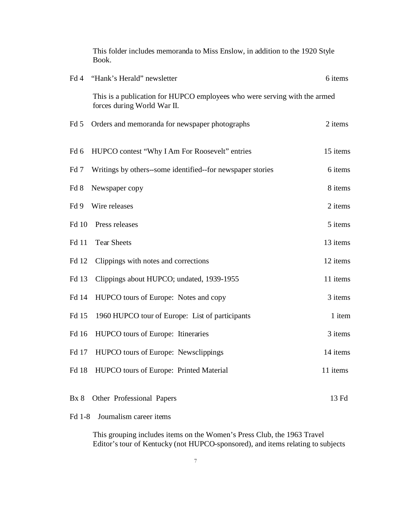|                 | This folder includes memoranda to Miss Enslow, in addition to the 1920 Style<br>Book.                    |          |
|-----------------|----------------------------------------------------------------------------------------------------------|----------|
| Fd 4            | "Hank's Herald" newsletter                                                                               | 6 items  |
|                 | This is a publication for HUPCO employees who were serving with the armed<br>forces during World War II. |          |
| Fd 5            | Orders and memoranda for newspaper photographs                                                           | 2 items  |
| Fd <sub>6</sub> | HUPCO contest "Why I Am For Roosevelt" entries                                                           | 15 items |
| Fd 7            | Writings by others-some identified-for newspaper stories                                                 | 6 items  |
| Fd 8            | Newspaper copy                                                                                           | 8 items  |
| Fd 9            | Wire releases                                                                                            | 2 items  |
| Fd 10           | Press releases                                                                                           | 5 items  |
| Fd 11           | <b>Tear Sheets</b>                                                                                       | 13 items |
| Fd 12           | Clippings with notes and corrections                                                                     | 12 items |
| Fd 13           | Clippings about HUPCO; undated, 1939-1955                                                                | 11 items |
| Fd 14           | HUPCO tours of Europe: Notes and copy                                                                    | 3 items  |
| Fd 15           | 1960 HUPCO tour of Europe: List of participants                                                          | 1 item   |
| Fd 16           | HUPCO tours of Europe: Itineraries                                                                       | 3 items  |
| Fd 17           | HUPCO tours of Europe: Newsclippings                                                                     | 14 items |
| Fd 18           | HUPCO tours of Europe: Printed Material                                                                  | 11 items |
| Bx8             | Other Professional Papers                                                                                | 13 Fd    |

### Fd 1-8 Journalism career items

This grouping includes items on the Women's Press Club, the 1963 Travel Editor's tour of Kentucky (not HUPCO-sponsored), and items relating to subjects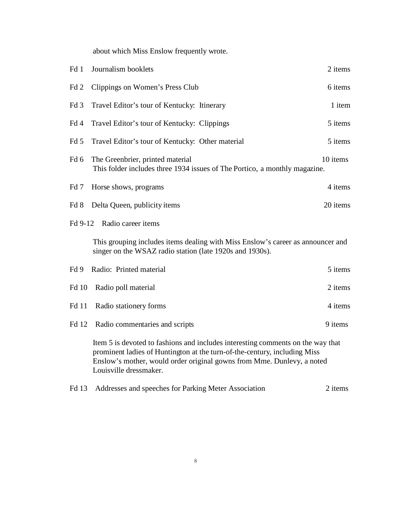about which Miss Enslow frequently wrote.

| Fd 1            | Journalism booklets                                                                                                                                                                                                                                              | 2 items  |
|-----------------|------------------------------------------------------------------------------------------------------------------------------------------------------------------------------------------------------------------------------------------------------------------|----------|
| Fd 2            | Clippings on Women's Press Club                                                                                                                                                                                                                                  | 6 items  |
| Fd <sub>3</sub> | Travel Editor's tour of Kentucky: Itinerary                                                                                                                                                                                                                      | 1 item   |
| Fd 4            | Travel Editor's tour of Kentucky: Clippings                                                                                                                                                                                                                      | 5 items  |
| Fd 5            | Travel Editor's tour of Kentucky: Other material                                                                                                                                                                                                                 | 5 items  |
| Fd <sub>6</sub> | The Greenbrier, printed material<br>This folder includes three 1934 issues of The Portico, a monthly magazine.                                                                                                                                                   | 10 items |
| Fd 7            | Horse shows, programs                                                                                                                                                                                                                                            | 4 items  |
| Fd 8            | Delta Queen, publicity items                                                                                                                                                                                                                                     | 20 items |
| Fd 9-12         | Radio career items                                                                                                                                                                                                                                               |          |
|                 | This grouping includes items dealing with Miss Enslow's career as announcer and<br>singer on the WSAZ radio station (late 1920s and 1930s).                                                                                                                      |          |
| Fd 9            | Radio: Printed material                                                                                                                                                                                                                                          | 5 items  |
| <b>Fd</b> 10    | Radio poll material                                                                                                                                                                                                                                              | 2 items  |
| Fd 11           | Radio stationery forms                                                                                                                                                                                                                                           | 4 items  |
| Fd 12           | Radio commentaries and scripts                                                                                                                                                                                                                                   | 9 items  |
|                 | Item 5 is devoted to fashions and includes interesting comments on the way that<br>prominent ladies of Huntington at the turn-of-the-century, including Miss<br>Enslow's mother, would order original gowns from Mme. Dunlevy, a noted<br>Louisville dressmaker. |          |
| Fd 13           | Addresses and speeches for Parking Meter Association                                                                                                                                                                                                             | 2 items  |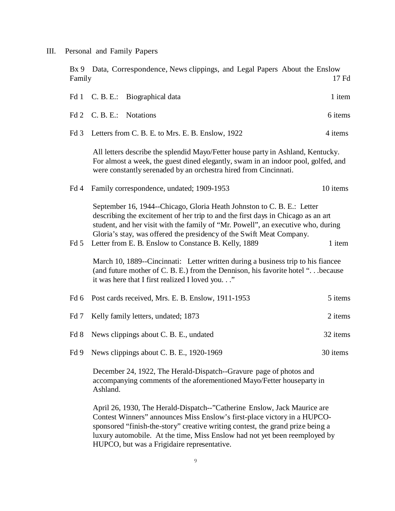III. Personal and Family Papers

Bx 9 Data, Correspondence, News clippings, and Legal Papers About the Enslow<br>Family 17 Family 17 Fd

| Fd <sub>1</sub> | C. B. E.: Biographical data                                                                                                                                                                                                                                                                                                                                                             |                                                   |                                                                                                                                                                                                                                          | 1 item   |
|-----------------|-----------------------------------------------------------------------------------------------------------------------------------------------------------------------------------------------------------------------------------------------------------------------------------------------------------------------------------------------------------------------------------------|---------------------------------------------------|------------------------------------------------------------------------------------------------------------------------------------------------------------------------------------------------------------------------------------------|----------|
| Fd 2            | C. B. E.: Notations                                                                                                                                                                                                                                                                                                                                                                     |                                                   |                                                                                                                                                                                                                                          | 6 items  |
| Fd <sub>3</sub> |                                                                                                                                                                                                                                                                                                                                                                                         | Letters from C. B. E. to Mrs. E. B. Enslow, 1922  |                                                                                                                                                                                                                                          | 4 items  |
|                 |                                                                                                                                                                                                                                                                                                                                                                                         |                                                   | All letters describe the splendid Mayo/Fetter house party in Ashland, Kentucky.<br>For almost a week, the guest dined elegantly, swam in an indoor pool, golfed, and<br>were constantly serenaded by an orchestra hired from Cincinnati. |          |
| Fd 4            |                                                                                                                                                                                                                                                                                                                                                                                         | Family correspondence, undated; 1909-1953         |                                                                                                                                                                                                                                          | 10 items |
| Fd <sub>5</sub> | September 16, 1944–Chicago, Gloria Heath Johnston to C. B. E.: Letter<br>describing the excitement of her trip to and the first days in Chicago as an art<br>student, and her visit with the family of "Mr. Powell", an executive who, during<br>Gloria's stay, was offered the presidency of the Swift Meat Company.<br>Letter from E. B. Enslow to Constance B. Kelly, 1889<br>1 item |                                                   |                                                                                                                                                                                                                                          |          |
|                 |                                                                                                                                                                                                                                                                                                                                                                                         | it was here that I first realized I loved you"    | March 10, 1889--Cincinnati: Letter written during a business trip to his fiancee<br>(and future mother of C. B. E.) from the Dennison, his favorite hotel " because                                                                      |          |
| Fd <sub>6</sub> |                                                                                                                                                                                                                                                                                                                                                                                         | Post cards received, Mrs. E. B. Enslow, 1911-1953 |                                                                                                                                                                                                                                          | 5 items  |
| Fd 7            |                                                                                                                                                                                                                                                                                                                                                                                         | Kelly family letters, undated; 1873               |                                                                                                                                                                                                                                          | 2 items  |
| Fd 8            |                                                                                                                                                                                                                                                                                                                                                                                         | News clippings about C. B. E., undated            |                                                                                                                                                                                                                                          | 32 items |
| Fd 9            |                                                                                                                                                                                                                                                                                                                                                                                         | News clippings about C. B. E., 1920-1969          |                                                                                                                                                                                                                                          | 30 items |
|                 |                                                                                                                                                                                                                                                                                                                                                                                         |                                                   | December 24, 1922, The Herald-Dispatch--Gravure page of photos and<br>accompanying comments of the aforementioned Mayo/Fetter houseparty in                                                                                              |          |

accompanying comments of the aforementioned Mayo/Fetter houseparty in Ashland.

April 26, 1930, The Herald-Dispatch--"Catherine Enslow, Jack Maurice are Contest Winners" announces Miss Enslow's first-place victory in a HUPCOsponsored "finish-the-story" creative writing contest, the grand prize being a luxury automobile. At the time, Miss Enslow had not yet been reemployed by HUPCO, but was a Frigidaire representative.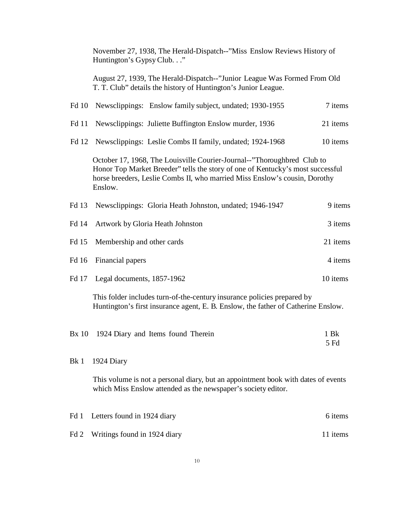|       | November 27, 1938, The Herald-Dispatch--"Miss Enslow Reviews History of<br>Huntington's Gypsy Club."                                                                                                                                               |              |
|-------|----------------------------------------------------------------------------------------------------------------------------------------------------------------------------------------------------------------------------------------------------|--------------|
|       | August 27, 1939, The Herald-Dispatch--"Junior League Was Formed From Old<br>T. T. Club" details the history of Huntington's Junior League.                                                                                                         |              |
| Fd 10 | Newsclippings: Enslow family subject, undated; 1930-1955                                                                                                                                                                                           | 7 items      |
| Fd 11 | Newsclippings: Juliette Buffington Enslow murder, 1936                                                                                                                                                                                             | 21 items     |
| Fd 12 | Newsclippings: Leslie Combs II family, undated; 1924-1968                                                                                                                                                                                          | 10 items     |
|       | October 17, 1968, The Louisville Courier-Journal--"Thoroughbred Club to<br>Honor Top Market Breeder" tells the story of one of Kentucky's most successful<br>horse breeders, Leslie Combs II, who married Miss Enslow's cousin, Dorothy<br>Enslow. |              |
| Fd 13 | Newsclippings: Gloria Heath Johnston, undated; 1946-1947                                                                                                                                                                                           | 9 items      |
| Fd 14 | Artwork by Gloria Heath Johnston                                                                                                                                                                                                                   | 3 items      |
| Fd 15 | Membership and other cards                                                                                                                                                                                                                         | 21 items     |
| Fd 16 | Financial papers                                                                                                                                                                                                                                   | 4 items      |
| Fd 17 | Legal documents, 1857-1962                                                                                                                                                                                                                         | 10 items     |
|       | This folder includes turn-of-the-century insurance policies prepared by<br>Huntington's first insurance agent, E. B. Enslow, the father of Catherine Enslow.                                                                                       |              |
|       | Bx 10 1924 Diary and Items found Therein                                                                                                                                                                                                           | 1 Bk<br>5 Fd |
| Bk 1  | 1924 Diary                                                                                                                                                                                                                                         |              |
|       | This volume is not a personal diary, but an appointment book with dates of events<br>which Miss Enslow attended as the newspaper's society editor.                                                                                                 |              |
| Fd 1  | Letters found in 1924 diary                                                                                                                                                                                                                        | 6 items      |

Fd 2 Writings found in 1924 diary 11 items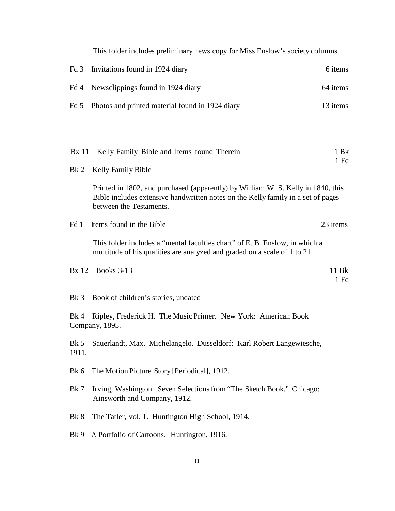This folder includes preliminary news copy for Miss Enslow's society columns.

| Fd 3            | Invitations found in 1924 diary                                                                                                                                                                 | 6 items         |
|-----------------|-------------------------------------------------------------------------------------------------------------------------------------------------------------------------------------------------|-----------------|
| Fd 4            | Newsclippings found in 1924 diary                                                                                                                                                               | 64 items        |
| Fd 5            | Photos and printed material found in 1924 diary                                                                                                                                                 | 13 items        |
|                 |                                                                                                                                                                                                 |                 |
| <b>Bx</b> 11    | Kelly Family Bible and Items found Therein                                                                                                                                                      | 1 Bk            |
| Bk 2            | Kelly Family Bible                                                                                                                                                                              | $1$ Fd          |
|                 | Printed in 1802, and purchased (apparently) by William W. S. Kelly in 1840, this<br>Bible includes extensive handwritten notes on the Kelly family in a set of pages<br>between the Testaments. |                 |
| Fd 1            | Items found in the Bible                                                                                                                                                                        | 23 items        |
|                 | This folder includes a "mental faculties chart" of E. B. Enslow, in which a<br>multitude of his qualities are analyzed and graded on a scale of 1 to 21.                                        |                 |
| <b>Bx</b> 12    | <b>Books 3-13</b>                                                                                                                                                                               | 11 Bk<br>$1$ Fd |
| Bk <sub>3</sub> | Book of children's stories, undated                                                                                                                                                             |                 |
| $Bk$ 4          | Ripley, Frederick H. The Music Primer. New York: American Book<br>Company, 1895.                                                                                                                |                 |
| Bk 5<br>1911.   | Sauerlandt, Max. Michelangelo. Dusseldorf: Karl Robert Langewiesche,                                                                                                                            |                 |
| Bk 6            | The Motion Picture Story [Periodical], 1912.                                                                                                                                                    |                 |
| Bk 7            | Irving, Washington. Seven Selections from "The Sketch Book." Chicago:<br>Ainsworth and Company, 1912.                                                                                           |                 |
| Bk 8            | The Tatler, vol. 1. Huntington High School, 1914.                                                                                                                                               |                 |
| Bk 9            | A Portfolio of Cartoons. Huntington, 1916.                                                                                                                                                      |                 |
|                 |                                                                                                                                                                                                 |                 |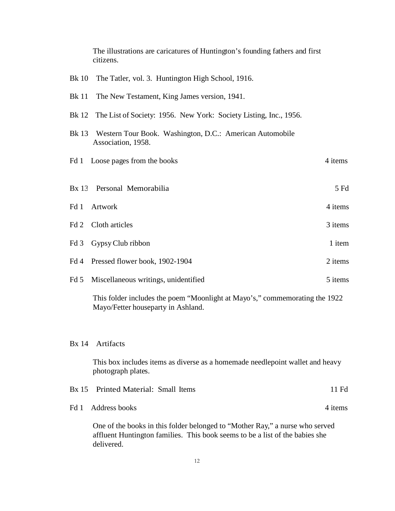|       | The illustrations are caricatures of Huntington's founding fathers and first<br>citizens. |         |
|-------|-------------------------------------------------------------------------------------------|---------|
| Bk 10 | The Tatler, vol. 3. Huntington High School, 1916.                                         |         |
| Bk 11 | The New Testament, King James version, 1941.                                              |         |
| Bk 12 | The List of Society: 1956. New York: Society Listing, Inc., 1956.                         |         |
|       | Bk 13 Western Tour Book. Washington, D.C.: American Automobile<br>Association, 1958.      |         |
|       | Fd 1 Loose pages from the books                                                           | 4 items |
|       | Bx 13 Personal Memorabilia                                                                | 5 Fd    |
|       | Fd 1 Artwork                                                                              | 4 items |
|       | Fd 2 Cloth articles                                                                       | 3 items |
| Fd 3  | Gypsy Club ribbon                                                                         | 1 item  |
|       | Fd 4 Pressed flower book, 1902-1904                                                       | 2 items |
|       | Fd 5 Miscellaneous writings, unidentified                                                 | 5 items |

This folder includes the poem "Moonlight at Mayo's," commemorating the 1922 Mayo/Fetter houseparty in Ashland.

### Bx 14 Artifacts

This box includes items as diverse as a homemade needlepoint wallet and heavy photograph plates.

| Bx 15 Printed Material: Small Items |                                                                                                                                                              | 11 Fd   |
|-------------------------------------|--------------------------------------------------------------------------------------------------------------------------------------------------------------|---------|
| Fd 1 Address books                  |                                                                                                                                                              | 4 items |
| delivered.                          | One of the books in this folder belonged to "Mother Ray," a nurse who served<br>affluent Huntington families. This book seems to be a list of the babies she |         |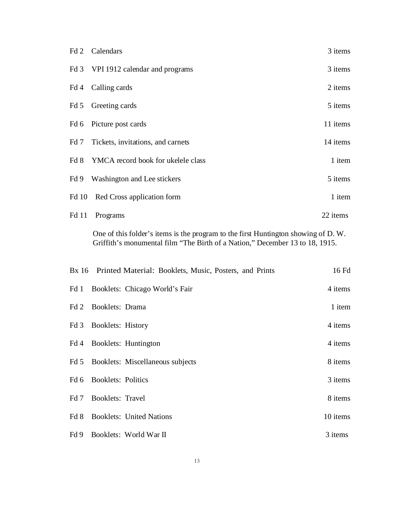|       | Fd 2 Calendars                          | 3 items  |
|-------|-----------------------------------------|----------|
|       | Fd 3 VPI 1912 calendar and programs     | 3 items  |
|       | Fd 4 Calling cards                      | 2 items  |
|       | Fd 5 Greeting cards                     | 5 items  |
|       | Fd 6 Picture post cards                 | 11 items |
|       | Fd 7 Tickets, invitations, and carnets  | 14 items |
|       | Fd 8 YMCA record book for ukelele class | 1 item   |
|       | Fd 9 Washington and Lee stickers        | 5 items  |
|       | Fd 10 Red Cross application form        | 1 item   |
| Fd 11 | Programs                                | 22 items |

One of this folder's items is the program to the first Huntington showing of D. W. Griffith's monumental film "The Birth of a Nation," December 13 to 18, 1915.

|      |                         | Bx 16 Printed Material: Booklets, Music, Posters, and Prints | 16 Fd    |
|------|-------------------------|--------------------------------------------------------------|----------|
|      |                         | Fd 1 Booklets: Chicago World's Fair                          | 4 items  |
|      | Fd 2 Booklets: Drama    |                                                              | 1 item   |
|      | Fd 3 Booklets: History  |                                                              | 4 items  |
|      |                         | Fd 4 Booklets: Huntington                                    | 4 items  |
|      |                         | Fd 5 Booklets: Miscellaneous subjects                        | 8 items  |
|      | Fd 6 Booklets: Politics |                                                              | 3 items  |
| Fd 7 | <b>Booklets: Travel</b> |                                                              | 8 items  |
|      |                         | Fd 8 Booklets: United Nations                                | 10 items |
|      |                         | Fd 9 Booklets: World War II                                  | 3 items  |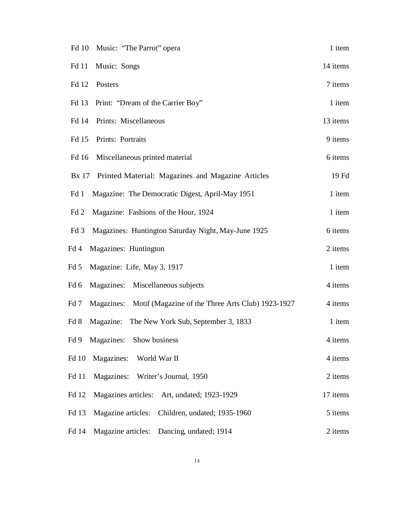| Fd 10 Music: "The Parrot" opera                                      | 1 item   |
|----------------------------------------------------------------------|----------|
| Fd 11<br>Music: Songs                                                | 14 items |
| Fd 12<br>Posters                                                     | 7 items  |
| Fd 13 Print: "Dream of the Carrier Boy"                              | 1 item   |
| Fd 14 Prints: Miscellaneous                                          | 13 items |
| Prints: Portraits<br>Fd 15                                           | 9 items  |
| Miscellaneous printed material<br>Fd 16                              | 6 items  |
| Bx 17 Printed Material: Magazines and Magazine Articles              | 19 Fd    |
| Magazine: The Democratic Digest, April-May 1951<br>Fd 1              | 1 item   |
| Magazine: Fashions of the Hour, 1924<br>Fd 2                         | 1 item   |
| Fd3<br>Magazines: Huntington Saturday Night, May-June 1925           | 6 items  |
| Magazines: Huntington<br>Fd 4                                        | 2 items  |
| Magazine: Life, May 3, 1917<br>Fd 5                                  | 1 item   |
| Magazines: Miscellaneous subjects<br>Fd 6                            | 4 items  |
| Magazines: Motif (Magazine of the Three Arts Club) 1923-1927<br>Fd 7 | 4 items  |
| Magazine: The New York Sub, September 3, 1833<br>Fd 8                | 1 item   |
| Fd 9 Magazines: Show business                                        | 4 items  |
| <b>Fd</b> 10<br>Magazines: World War II                              | 4 items  |
| Magazines: Writer's Journal, 1950<br>Fd 11                           | 2 items  |
| Fd 12<br>Magazines articles: Art, undated; 1923-1929                 | 17 items |
| Fd 13<br>Magazine articles: Children, undated; 1935-1960             | 5 items  |
| Magazine articles: Dancing, undated; 1914<br>Fd 14                   | 2 items  |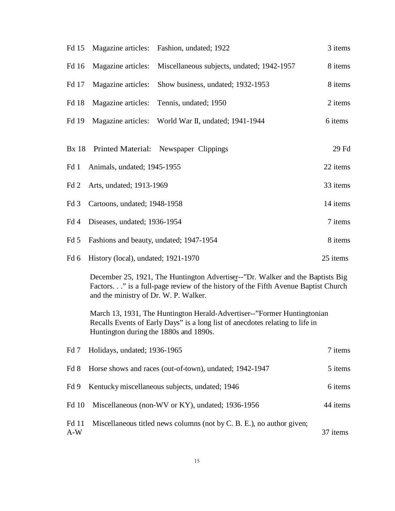| Fd 15           | Magazine articles:                      | Fashion, undated; 1922                                                                                                                                                                             | 3 items  |
|-----------------|-----------------------------------------|----------------------------------------------------------------------------------------------------------------------------------------------------------------------------------------------------|----------|
| Fd 16           | Magazine articles:                      | Miscellaneous subjects, undated; 1942-1957                                                                                                                                                         | 8 items  |
| Fd 17           | Magazine articles:                      | Show business, undated; 1932-1953                                                                                                                                                                  | 8 items  |
| Fd 18           | Magazine articles:                      | Tennis, undated; 1950                                                                                                                                                                              | 2 items  |
| Fd 19           | Magazine articles:                      | World War II, undated; 1941-1944                                                                                                                                                                   | 6 items  |
| <b>Bx</b> 18    | <b>Printed Material:</b>                | Newspaper Clippings                                                                                                                                                                                | 29 Fd    |
| Fd 1            | Animals, undated; 1945-1955             |                                                                                                                                                                                                    | 22 items |
| Fd 2            | Arts, undated; 1913-1969                |                                                                                                                                                                                                    | 33 items |
| Fd <sub>3</sub> | Cartoons, undated; 1948-1958            |                                                                                                                                                                                                    | 14 items |
| Fd 4            | Diseases, undated; 1936-1954            |                                                                                                                                                                                                    | 7 items  |
| Fd 5            | Fashions and beauty, undated; 1947-1954 |                                                                                                                                                                                                    | 8 items  |
| Fd 6            | History (local), undated; 1921-1970     |                                                                                                                                                                                                    | 25 items |
|                 | and the ministry of Dr. W. P. Walker.   | December 25, 1921, The Huntington Advertiser--"Dr. Walker and the Baptists Big<br>Factors." is a full-page review of the history of the Fifth Avenue Baptist Church                                |          |
|                 |                                         | March 13, 1931, The Huntington Herald-Advertiser--"Former Huntingtonian<br>Recalls Events of Early Days" is a long list of anecdotes relating to life in<br>Huntington during the 1880s and 1890s. |          |
| Fd <sub>7</sub> | Holidays, undated; 1936-1965            |                                                                                                                                                                                                    | 7 items  |
| Fd 8            |                                         | Horse shows and races (out-of-town), undated; 1942-1947                                                                                                                                            | 5 items  |
| Fd 9            |                                         | Kentucky miscellaneous subjects, undated; 1946                                                                                                                                                     | 6 items  |
| Fd 10           |                                         | Miscellaneous (non-WV or KY), undated; 1936-1956                                                                                                                                                   | 44 items |
| Fd 11<br>$A-W$  |                                         | Miscellaneous titled news columns (not by C. B. E.), no author given;                                                                                                                              | 37 items |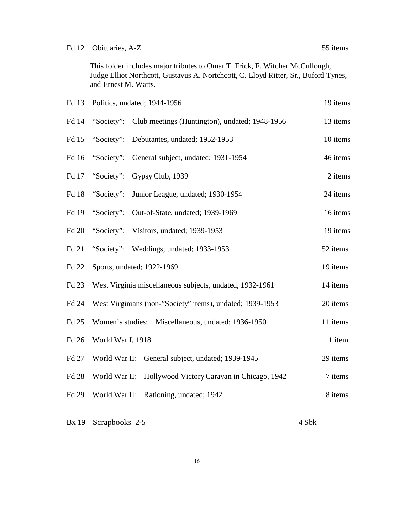This folder includes major tributes to Omar T. Frick, F. Witcher McCullough, Judge Elliot Northcott, Gustavus A. Nortchcott, C. Lloyd Ritter, Sr., Buford Tynes, and Ernest M. Watts.

| Fd 13        |                   | Politics, undated; 1944-1956                              | 19 items |
|--------------|-------------------|-----------------------------------------------------------|----------|
| Fd 14        | "Society":        | Club meetings (Huntington), undated; 1948-1956            | 13 items |
| Fd 15        | "Society":        | Debutantes, undated; 1952-1953                            | 10 items |
| Fd 16        | "Society":        | General subject, undated; 1931-1954                       | 46 items |
| Fd 17        | "Society":        | Gypsy Club, 1939                                          | 2 items  |
| Fd 18        | "Society":        | Junior League, undated; 1930-1954                         | 24 items |
| Fd 19        | "Society":        | Out-of-State, undated; 1939-1969                          | 16 items |
| Fd 20        | "Society":        | Visitors, undated; 1939-1953                              | 19 items |
| Fd 21        | "Society":        | Weddings, undated; 1933-1953                              | 52 items |
| Fd 22        |                   | Sports, undated; 1922-1969                                | 19 items |
| Fd 23        |                   | West Virginia miscellaneous subjects, undated, 1932-1961  | 14 items |
| Fd 24        |                   | West Virginians (non-"Society" items), undated; 1939-1953 | 20 items |
| Fd 25        |                   | Women's studies: Miscellaneous, undated; 1936-1950        | 11 items |
| Fd 26        | World War I, 1918 |                                                           | 1 item   |
| Fd 27        | World War II:     | General subject, undated; 1939-1945                       | 29 items |
| <b>Fd 28</b> | World War II:     | Hollywood Victory Caravan in Chicago, 1942                | 7 items  |
| Fd 29        | World War II:     | Rationing, undated; 1942                                  | 8 items  |
|              |                   |                                                           |          |

Bx 19 Scrapbooks 2-5 4 Sbk

16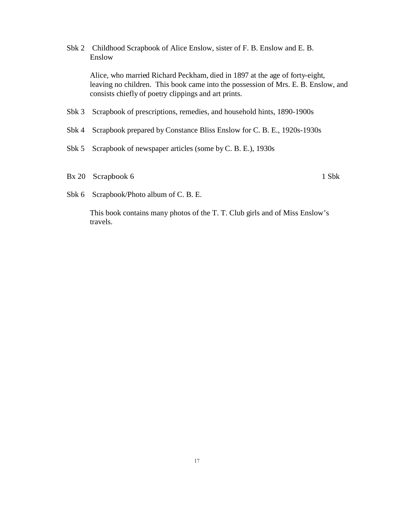Sbk 2 Childhood Scrapbook of Alice Enslow, sister of F. B. Enslow and E. B. Enslow

Alice, who married Richard Peckham, died in 1897 at the age of forty-eight, leaving no children. This book came into the possession of Mrs. E. B. Enslow, and consists chiefly of poetry clippings and art prints.

- Sbk 3 Scrapbook of prescriptions, remedies, and household hints, 1890-1900s
- Sbk 4 Scrapbook prepared by Constance Bliss Enslow for C. B. E., 1920s-1930s
- Sbk 5 Scrapbook of newspaper articles (some by C. B. E.), 1930s
- Bx 20 Scrapbook 6 1 Sbk

Sbk 6 Scrapbook/Photo album of C. B. E.

This book contains many photos of the T. T. Club girls and of Miss Enslow's travels.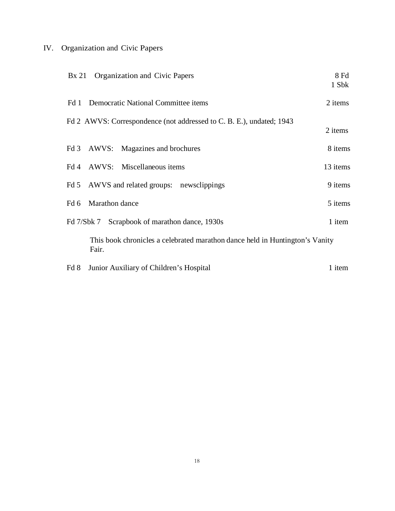# IV. Organization and Civic Papers

| Bx 21 | Organization and Civic Papers                                                         | 8 Fd<br>1 Sbk |
|-------|---------------------------------------------------------------------------------------|---------------|
| Fd 1  | Democratic National Committee items                                                   | 2 items       |
|       | Fd 2 AWVS: Correspondence (not addressed to C. B. E.), undated; 1943                  | 2 items       |
|       | Fd 3 AWVS: Magazines and brochures                                                    | 8 items       |
|       | Fd 4 AWVS: Miscellaneous items                                                        | 13 items      |
| Fd 5  | AWVS and related groups: newsclippings                                                | 9 items       |
| Fd 6  | Marathon dance                                                                        | 5 items       |
|       | Fd 7/Sbk 7 Scrapbook of marathon dance, 1930s                                         | 1 item        |
|       | This book chronicles a celebrated marathon dance held in Huntington's Vanity<br>Fair. |               |
| Fd 8  | Junior Auxiliary of Children's Hospital                                               | 1 item        |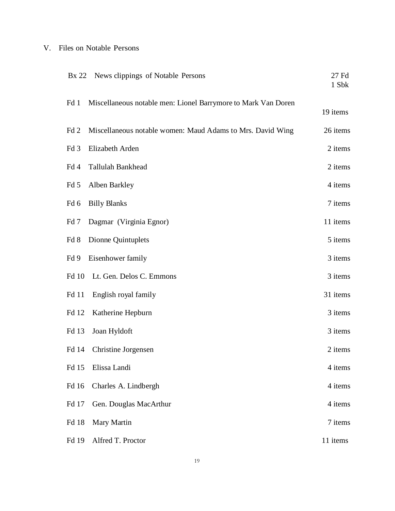## V. Files on Notable Persons

| Bx 22 News clippings of Notable Persons                               | 27 Fd<br>1 Sbk |
|-----------------------------------------------------------------------|----------------|
| Miscellaneous notable men: Lionel Barrymore to Mark Van Doren<br>Fd 1 | 19 items       |
| Fd2<br>Miscellaneous notable women: Maud Adams to Mrs. David Wing     | 26 items       |
| Fd 3<br>Elizabeth Arden                                               | 2 items        |
| Fd 4<br>Tallulah Bankhead                                             | 2 items        |
| Fd 5<br>Alben Barkley                                                 | 4 items        |
| <b>Billy Blanks</b><br>Fd 6                                           | 7 items        |
| Fd 7<br>Dagmar (Virginia Egnor)                                       | 11 items       |
| Fd 8<br>Dionne Quintuplets                                            | 5 items        |
| Eisenhower family<br>Fd 9                                             | 3 items        |
| <b>Fd</b> 10<br>Lt. Gen. Delos C. Emmons                              | 3 items        |
| Fd 11<br>English royal family                                         | 31 items       |
| Katherine Hepburn<br>Fd 12                                            | 3 items        |
| Fd 13<br>Joan Hyldoft                                                 | 3 items        |
| Christine Jorgensen<br>Fd 14                                          | 2 items        |
| Fd 15<br>Elissa Landi                                                 | 4 items        |
| Fd 16<br>Charles A. Lindbergh                                         | 4 items        |
| Fd 17<br>Gen. Douglas MacArthur                                       | 4 items        |
| Fd 18<br>Mary Martin                                                  | 7 items        |
| Alfred T. Proctor<br>Fd 19                                            | 11 items       |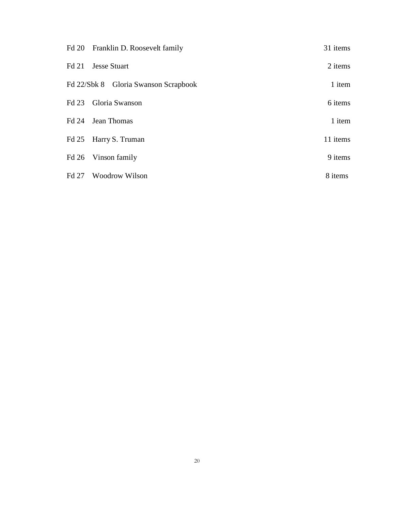| Fd 20 Franklin D. Roosevelt family   | 31 items |
|--------------------------------------|----------|
| Fd 21 Jesse Stuart                   | 2 items  |
| Fd 22/Sbk 8 Gloria Swanson Scrapbook | 1 item   |
| Fd 23 Gloria Swanson                 | 6 items  |
| Fd 24 Jean Thomas                    | 1 item   |
| Fd 25 Harry S. Truman                | 11 items |
| Fd 26 Vinson family                  | 9 items  |
| Fd 27 Woodrow Wilson                 | 8 items  |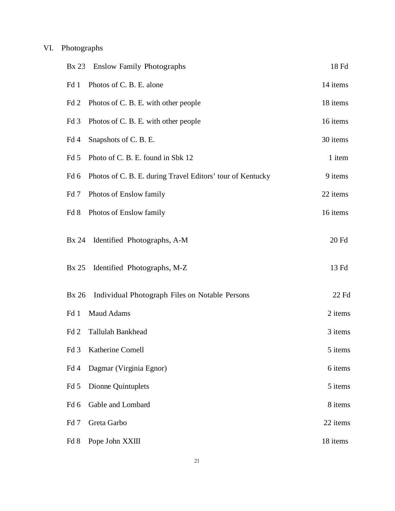# VI. Photographs

| <b>Enslow Family Photographs</b><br>Bx 23                          | 18 Fd    |
|--------------------------------------------------------------------|----------|
| Photos of C. B. E. alone<br>Fd 1                                   | 14 items |
| Fd <sub>2</sub><br>Photos of C. B. E. with other people            | 18 items |
| Fd 3<br>Photos of C. B. E. with other people                       | 16 items |
| Snapshots of C. B. E.<br>Fd 4                                      | 30 items |
| Photo of C. B. E. found in Sbk 12<br>Fd 5                          | 1 item   |
| Photos of C. B. E. during Travel Editors' tour of Kentucky<br>Fd 6 | 9 items  |
| Photos of Enslow family<br>Fd 7                                    | 22 items |
| Fd 8<br>Photos of Enslow family                                    | 16 items |
| <b>Bx</b> 24<br>Identified Photographs, A-M                        | 20 Fd    |
| Identified Photographs, M-Z<br>Bx 25                               | 13 Fd    |
| Individual Photograph Files on Notable Persons<br><b>Bx</b> 26     | 22 Fd    |
| Maud Adams<br>Fd 1                                                 | 2 items  |
| Fd 2<br>Tallulah Bankhead                                          | 3 items  |
| Fd 3<br>Katherine Cornell                                          | 5 items  |
| Fd 4<br>Dagmar (Virginia Egnor)                                    | 6 items  |
| Dionne Quintuplets<br>Fd 5                                         | 5 items  |
| Fd 6<br>Gable and Lombard                                          | 8 items  |
| Fd <sub>7</sub><br>Greta Garbo                                     | 22 items |
| Fd 8<br>Pope John XXIII                                            | 18 items |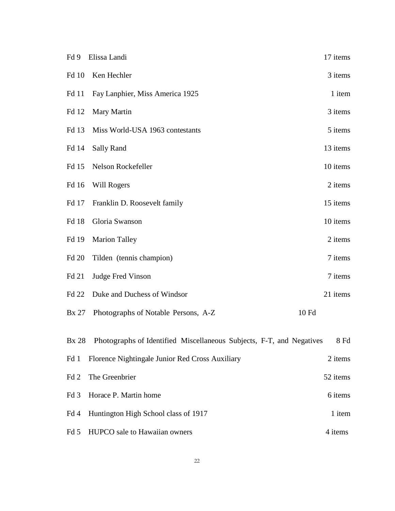| Fd 9            | Elissa Landi                                                               | 17 items |
|-----------------|----------------------------------------------------------------------------|----------|
| <b>Fd</b> 10    | Ken Hechler                                                                | 3 items  |
| <b>Fd</b> 11    | Fay Lanphier, Miss America 1925                                            | 1 item   |
| Fd 12           | Mary Martin                                                                | 3 items  |
| Fd 13           | Miss World-USA 1963 contestants                                            | 5 items  |
| Fd 14           | <b>Sally Rand</b>                                                          | 13 items |
| Fd 15           | Nelson Rockefeller                                                         | 10 items |
| Fd 16           | Will Rogers                                                                | 2 items  |
| Fd 17           | Franklin D. Roosevelt family                                               | 15 items |
| Fd 18           | Gloria Swanson                                                             | 10 items |
| Fd 19           | <b>Marion Talley</b>                                                       | 2 items  |
| <b>Fd 20</b>    | Tilden (tennis champion)                                                   | 7 items  |
| Fd 21           | <b>Judge Fred Vinson</b>                                                   | 7 items  |
| <b>Fd 22</b>    | Duke and Duchess of Windsor                                                | 21 items |
| <b>Bx</b> 27    | Photographs of Notable Persons, A-Z                                        | 10 Fd    |
|                 | Bx 28 Photographs of Identified Miscellaneous Subjects, F-T, and Negatives | 8 Fd     |
| Fd 1            | Florence Nightingale Junior Red Cross Auxiliary                            | 2 items  |
| Fd 2            | The Greenbrier                                                             | 52 items |
| Fd <sub>3</sub> | Horace P. Martin home                                                      | 6 items  |
| Fd 4            | Huntington High School class of 1917                                       | 1 item   |
| Fd 5            | HUPCO sale to Hawaiian owners                                              | 4 items  |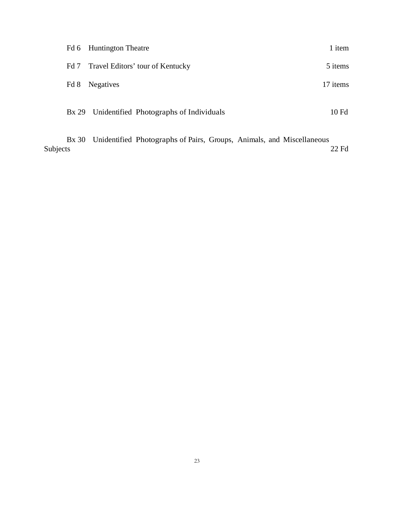|      | Fd 6 Huntington Theatre                       | 1 item   |
|------|-----------------------------------------------|----------|
|      | Fd 7 Travel Editors' tour of Kentucky         | 5 items  |
| Fd 8 | <b>Negatives</b>                              | 17 items |
|      | Bx 29 Unidentified Photographs of Individuals | 10Fd     |

Bx 30 Unidentified Photographs of Pairs, Groups, Animals, and Miscellaneous 22 Fd 22 Fd Subjects 22 Fd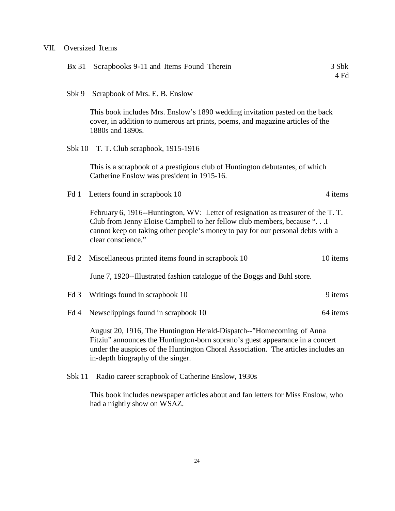## VII. Oversized Items

| Bx 31           | Scrapbooks 9-11 and Items Found Therein                                                                                                                                                                                                                                         | 3 Sbk<br>4 Fd |
|-----------------|---------------------------------------------------------------------------------------------------------------------------------------------------------------------------------------------------------------------------------------------------------------------------------|---------------|
| Sbk 9           | Scrapbook of Mrs. E. B. Enslow                                                                                                                                                                                                                                                  |               |
|                 | This book includes Mrs. Enslow's 1890 wedding invitation pasted on the back<br>cover, in addition to numerous art prints, poems, and magazine articles of the<br>1880s and 1890s.                                                                                               |               |
|                 | Sbk 10 T. T. Club scrapbook, 1915-1916                                                                                                                                                                                                                                          |               |
|                 | This is a scrapbook of a prestigious club of Huntington debutantes, of which<br>Catherine Enslow was president in 1915-16.                                                                                                                                                      |               |
| Fd 1            | Letters found in scrapbook 10                                                                                                                                                                                                                                                   | 4 items       |
|                 | February 6, 1916--Huntington, WV: Letter of resignation as treasurer of the T.T.<br>Club from Jenny Eloise Campbell to her fellow club members, because " I<br>cannot keep on taking other people's money to pay for our personal debts with a<br>clear conscience."            |               |
| Fd 2            | Miscellaneous printed items found in scrapbook 10                                                                                                                                                                                                                               | 10 items      |
|                 | June 7, 1920--Illustrated fashion catalogue of the Boggs and Buhl store.                                                                                                                                                                                                        |               |
| Fd <sub>3</sub> | Writings found in scrapbook 10                                                                                                                                                                                                                                                  | 9 items       |
| Fd 4            | Newsclippings found in scrapbook 10                                                                                                                                                                                                                                             | 64 items      |
|                 | August 20, 1916, The Huntington Herald-Dispatch--"Homecoming of Anna<br>Fitziu" announces the Huntington-born soprano's guest appearance in a concert<br>under the auspices of the Huntington Choral Association. The articles includes an<br>in-depth biography of the singer. |               |
| $S$ b $k$ 11    | Radio career scrapbook of Catherine Enslow, 1930s                                                                                                                                                                                                                               |               |

This book includes newspaper articles about and fan letters for Miss Enslow, who had a nightly show on WSAZ.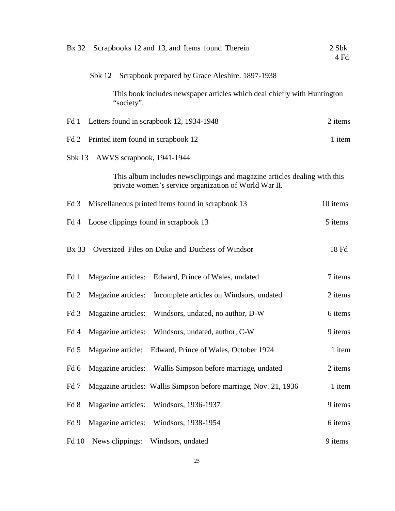| <b>Bx</b> 32<br>Scrapbooks 12 and 13, and Items found Therein                                                                      | 2 Sbk<br>4 Fd |  |  |  |  |  |
|------------------------------------------------------------------------------------------------------------------------------------|---------------|--|--|--|--|--|
| Scrapbook prepared by Grace Aleshire. 1897-1938<br>Sbk 12                                                                          |               |  |  |  |  |  |
| This book includes newspaper articles which deal chiefly with Huntington<br>"society".                                             |               |  |  |  |  |  |
| Letters found in scrapbook 12, 1934-1948<br>Fd 1                                                                                   | 2 items       |  |  |  |  |  |
| Printed item found in scrapbook 12<br>1 item<br>Fd 2                                                                               |               |  |  |  |  |  |
| Sb $k$ 13<br>AWVS scrapbook, 1941-1944                                                                                             |               |  |  |  |  |  |
| This album includes newsclippings and magazine articles dealing with this<br>private women's service organization of World War II. |               |  |  |  |  |  |
| Miscellaneous printed items found in scrapbook 13<br>Fd <sub>3</sub>                                                               | 10 items      |  |  |  |  |  |
| Loose clippings found in scrapbook 13<br>Fd 4                                                                                      | 5 items       |  |  |  |  |  |
| <b>Bx</b> 33<br>Oversized Files on Duke and Duchess of Windsor                                                                     | 18 Fd         |  |  |  |  |  |
| Magazine articles:<br>Fd 1<br>Edward, Prince of Wales, undated                                                                     | 7 items       |  |  |  |  |  |
| Magazine articles:<br>Incomplete articles on Windsors, undated<br>Fd 2                                                             | 2 items       |  |  |  |  |  |
| Magazine articles:<br>Fd <sub>3</sub><br>Windsors, undated, no author, D-W                                                         | 6 items       |  |  |  |  |  |
| Windsors, undated, author, C-W<br>Fd 4<br>Magazine articles:                                                                       | 9 items       |  |  |  |  |  |
| Fd 5<br>Magazine article:<br>Edward, Prince of Wales, October 1924                                                                 | 1 item        |  |  |  |  |  |
| Fd 6<br>Wallis Simpson before marriage, undated<br>Magazine articles:                                                              | 2 items       |  |  |  |  |  |
| Magazine articles: Wallis Simpson before marriage, Nov. 21, 1936<br>Fd 7                                                           | 1 item        |  |  |  |  |  |
| Magazine articles:<br>Windsors, 1936-1937<br>Fd 8                                                                                  | 9 items       |  |  |  |  |  |
| Magazine articles:<br>Windsors, 1938-1954<br>Fd 9                                                                                  | 6 items       |  |  |  |  |  |
| News clippings:<br>Fd 10<br>Windsors, undated                                                                                      | 9 items       |  |  |  |  |  |